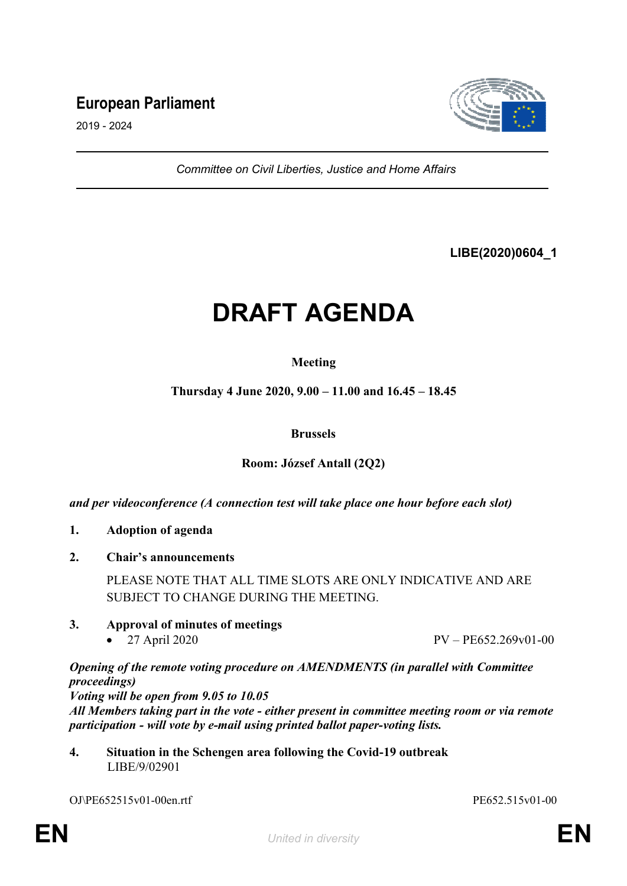# **European Parliament**



2019 - 2024

*Committee on Civil Liberties, Justice and Home Affairs*

# **LIBE(2020)0604\_1**

# **DRAFT AGENDA**

## **Meeting**

**Thursday 4 June 2020, 9.00 – 11.00 and 16.45 – 18.45**

#### **Brussels**

#### **Room: József Antall (2Q2)**

*and per videoconference (A connection test will take place one hour before each slot)*

- **1. Adoption of agenda**
- **2. Chair's announcements**

PLEASE NOTE THAT ALL TIME SLOTS ARE ONLY INDICATIVE AND ARE SUBJECT TO CHANGE DURING THE MEETING.

**3. Approval of minutes of meetings**

• 27 April 2020  $PV - PE652.269v01-00$ 

*Opening of the remote voting procedure on AMENDMENTS (in parallel with Committee proceedings)*

*Voting will be open from 9.05 to 10.05 All Members taking part in the vote - either present in committee meeting room or via remote participation - will vote by e-mail using printed ballot paper-voting lists.*

**4. Situation in the Schengen area following the Covid-19 outbreak** LIBE/9/02901

OJ\PE652515v01-00en.rtf PE652.515v01-00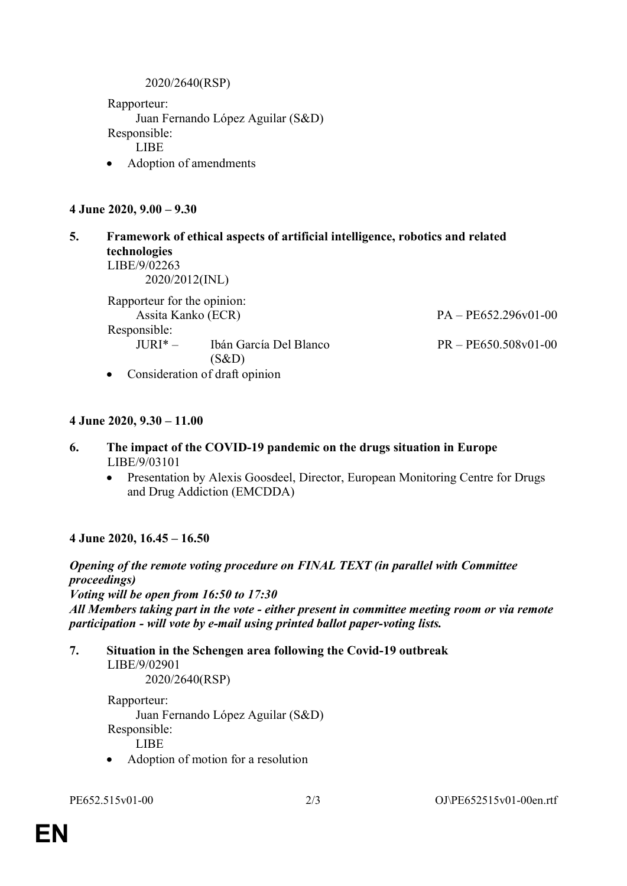2020/2640(RSP)

Rapporteur: Juan Fernando López Aguilar (S&D) Responsible: LIBE

Adoption of amendments

#### **4 June 2020, 9.00 – 9.30**

**5. Framework of ethical aspects of artificial intelligence, robotics and related technologies** LIBE/9/02263 2020/2012(INL) Rapporteur for the opinion: Assita Kanko (ECR) PA – PE652.296v01-00 Responsible: JURI\* – Ibán García Del Blanco (S&D) PR – PE650.508v01-00 • Consideration of draft opinion

#### **4 June 2020, 9.30 – 11.00**

- **6. The impact of the COVID-19 pandemic on the drugs situation in Europe** LIBE/9/03101
	- Presentation by Alexis Goosdeel, Director, European Monitoring Centre for Drugs and Drug Addiction (EMCDDA)

## **4 June 2020, 16.45 – 16.50**

*Opening of the remote voting procedure on FINAL TEXT (in parallel with Committee proceedings) Voting will be open from 16:50 to 17:30 All Members taking part in the vote - either present in committee meeting room or via remote participation - will vote by e-mail using printed ballot paper-voting lists.*

**7. Situation in the Schengen area following the Covid-19 outbreak** LIBE/9/02901 2020/2640(RSP)

Rapporteur: Juan Fernando López Aguilar (S&D) Responsible: LIBE

Adoption of motion for a resolution